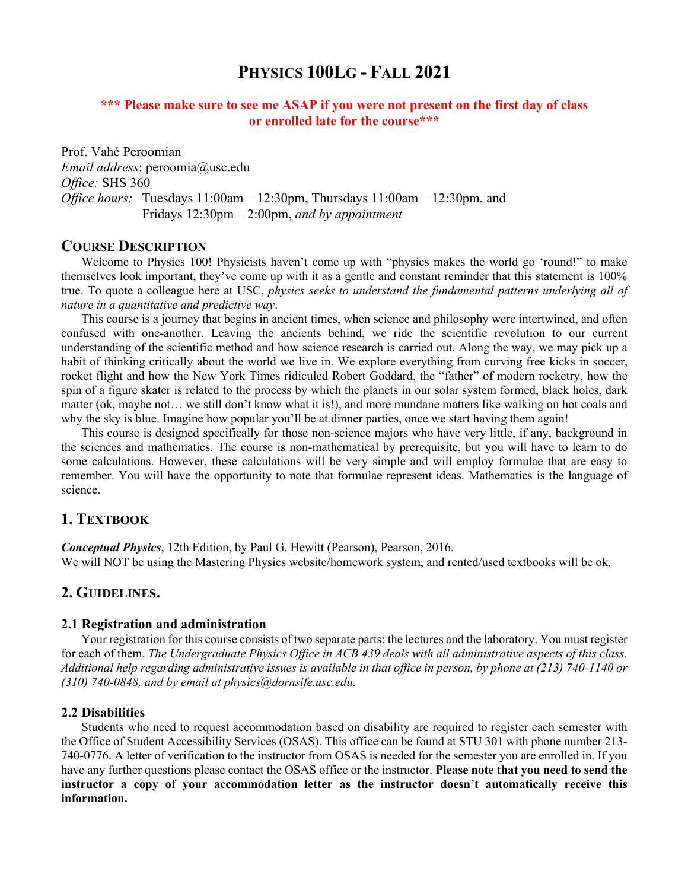# **PHYSICS 100LG - FALL 2021**

## **\*\*\* Please make sure to see me ASAP if you were not present on the first day of class or enrolled late for the course\*\*\***

Prof. Vahé Peroomian *Email address*: peroomia@usc.edu *Office:* SHS 360 *Office hours:* Tuesdays 11:00am – 12:30pm, Thursdays 11:00am – 12:30pm, and Fridays 12:30pm – 2:00pm, *and by appointment* 

#### **COURSE DESCRIPTION**

Welcome to Physics 100! Physicists haven't come up with "physics makes the world go 'round!" to make themselves look important, they've come up with it as a gentle and constant reminder that this statement is 100% true. To quote a colleague here at USC, *physics seeks to understand the fundamental patterns underlying all of nature in a quantitative and predictive way*.

This course is a journey that begins in ancient times, when science and philosophy were intertwined, and often confused with one-another. Leaving the ancients behind, we ride the scientific revolution to our current understanding of the scientific method and how science research is carried out. Along the way, we may pick up a habit of thinking critically about the world we live in. We explore everything from curving free kicks in soccer, rocket flight and how the New York Times ridiculed Robert Goddard, the "father" of modern rocketry, how the spin of a figure skater is related to the process by which the planets in our solar system formed, black holes, dark matter (ok, maybe not… we still don't know what it is!), and more mundane matters like walking on hot coals and why the sky is blue. Imagine how popular you'll be at dinner parties, once we start having them again!

This course is designed specifically for those non-science majors who have very little, if any, background in the sciences and mathematics. The course is non-mathematical by prerequisite, but you will have to learn to do some calculations. However, these calculations will be very simple and will employ formulae that are easy to remember. You will have the opportunity to note that formulae represent ideas. Mathematics is the language of science.

### **1. TEXTBOOK**

*Conceptual Physics*, 12th Edition, by Paul G. Hewitt (Pearson), Pearson, 2016. We will NOT be using the Mastering Physics website/homework system, and rented/used textbooks will be ok.

## **2. GUIDELINES.**

#### **2.1 Registration and administration**

Your registration for this course consists of two separate parts: the lectures and the laboratory. You must register for each of them. *The Undergraduate Physics Office in ACB 439 deals with all administrative aspects of this class. Additional help regarding administrative issues is available in that office in person, by phone at (213) 740-1140 or (310) 740-0848, and by email at physics@dornsife.usc.edu.*

#### **2.2 Disabilities**

Students who need to request accommodation based on disability are required to register each semester with the Office of Student Accessibility Services (OSAS). This office can be found at STU 301 with phone number 213- 740-0776. A letter of verification to the instructor from OSAS is needed for the semester you are enrolled in. If you have any further questions please contact the OSAS office or the instructor. **Please note that you need to send the instructor a copy of your accommodation letter as the instructor doesn't automatically receive this information.**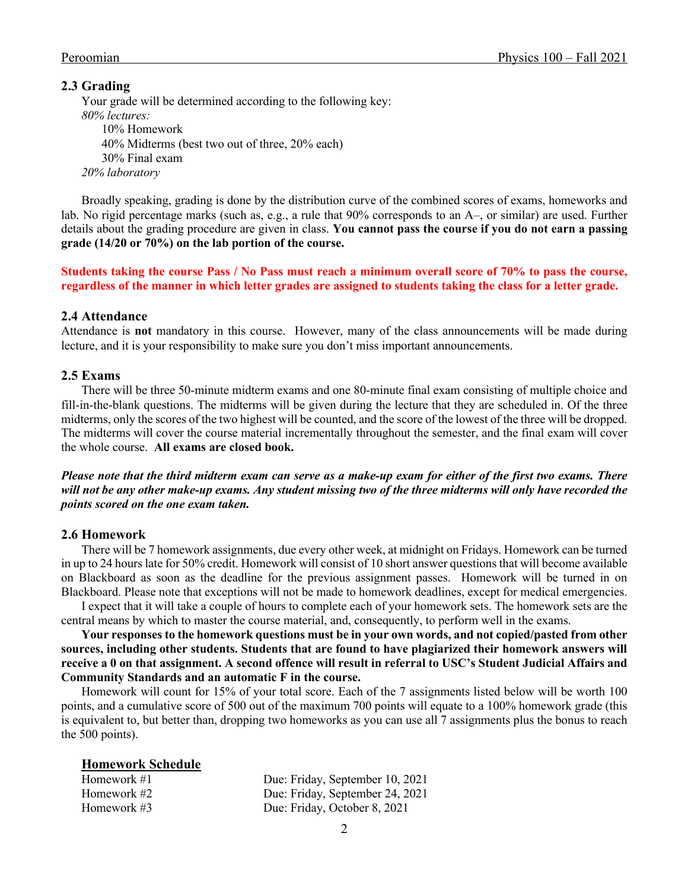#### **2.3 Grading**

Your grade will be determined according to the following key: *80% lectures:*  10% Homework 40% Midterms (best two out of three, 20% each) 30% Final exam *20% laboratory*

Broadly speaking, grading is done by the distribution curve of the combined scores of exams, homeworks and lab. No rigid percentage marks (such as, e.g., a rule that 90% corresponds to an A–, or similar) are used. Further details about the grading procedure are given in class. **You cannot pass the course if you do not earn a passing grade (14/20 or 70%) on the lab portion of the course.**

**Students taking the course Pass / No Pass must reach a minimum overall score of 70% to pass the course, regardless of the manner in which letter grades are assigned to students taking the class for a letter grade.** 

#### **2.4 Attendance**

Attendance is **not** mandatory in this course. However, many of the class announcements will be made during lecture, and it is your responsibility to make sure you don't miss important announcements.

#### **2.5 Exams**

There will be three 50-minute midterm exams and one 80-minute final exam consisting of multiple choice and fill-in-the-blank questions. The midterms will be given during the lecture that they are scheduled in. Of the three midterms, only the scores of the two highest will be counted, and the score of the lowest of the three will be dropped. The midterms will cover the course material incrementally throughout the semester, and the final exam will cover the whole course. **All exams are closed book.** 

*Please note that the third midterm exam can serve as a make-up exam for either of the first two exams. There will not be any other make-up exams. Any student missing two of the three midterms will only have recorded the points scored on the one exam taken.* 

#### **2.6 Homework**

There will be 7 homework assignments, due every other week, at midnight on Fridays. Homework can be turned in up to 24 hours late for 50% credit. Homework will consist of 10 short answer questions that will become available on Blackboard as soon as the deadline for the previous assignment passes. Homework will be turned in on Blackboard. Please note that exceptions will not be made to homework deadlines, except for medical emergencies.

I expect that it will take a couple of hours to complete each of your homework sets. The homework sets are the central means by which to master the course material, and, consequently, to perform well in the exams.

**Your responses to the homework questions must be in your own words, and not copied/pasted from other sources, including other students. Students that are found to have plagiarized their homework answers will receive a 0 on that assignment. A second offence will result in referral to USC's Student Judicial Affairs and Community Standards and an automatic F in the course.** 

Homework will count for 15% of your total score. Each of the 7 assignments listed below will be worth 100 points, and a cumulative score of 500 out of the maximum 700 points will equate to a 100% homework grade (this is equivalent to, but better than, dropping two homeworks as you can use all 7 assignments plus the bonus to reach the 500 points).

#### **Homework Schedule**

| Homework #1 | Due: Friday, September 10, 2021 |
|-------------|---------------------------------|
| Homework #2 | Due: Friday, September 24, 2021 |
| Homework #3 | Due: Friday, October 8, 2021    |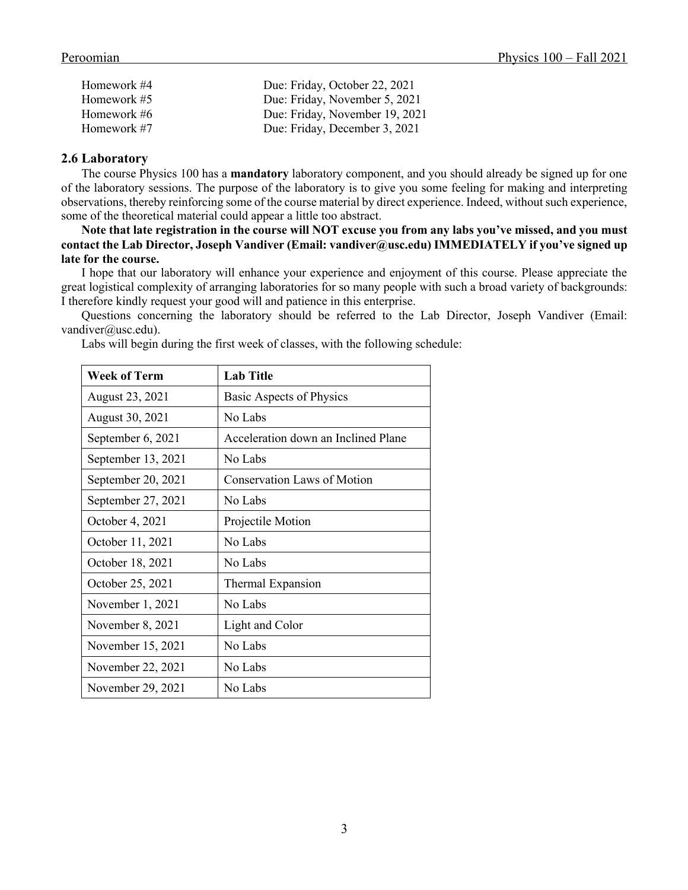| Homework #4 | Due: Friday, October 22, 2021  |
|-------------|--------------------------------|
| Homework #5 | Due: Friday, November 5, 2021  |
| Homework #6 | Due: Friday, November 19, 2021 |
| Homework #7 | Due: Friday, December 3, 2021  |

#### **2.6 Laboratory**

The course Physics 100 has a **mandatory** laboratory component, and you should already be signed up for one of the laboratory sessions. The purpose of the laboratory is to give you some feeling for making and interpreting observations, thereby reinforcing some of the course material by direct experience. Indeed, without such experience, some of the theoretical material could appear a little too abstract.

**Note that late registration in the course will NOT excuse you from any labs you've missed, and you must contact the Lab Director, Joseph Vandiver (Email: vandiver@usc.edu) IMMEDIATELY if you've signed up late for the course.**

I hope that our laboratory will enhance your experience and enjoyment of this course. Please appreciate the great logistical complexity of arranging laboratories for so many people with such a broad variety of backgrounds: I therefore kindly request your good will and patience in this enterprise.

Questions concerning the laboratory should be referred to the Lab Director, Joseph Vandiver (Email: vandiver@usc.edu).

| <b>Week of Term</b> | <b>Lab Title</b>                    |
|---------------------|-------------------------------------|
| August 23, 2021     | Basic Aspects of Physics            |
| August 30, 2021     | No Labs                             |
| September 6, 2021   | Acceleration down an Inclined Plane |
| September 13, 2021  | No Labs                             |
| September 20, 2021  | <b>Conservation Laws of Motion</b>  |
| September 27, 2021  | No Labs                             |
| October 4, 2021     | Projectile Motion                   |
| October 11, 2021    | No Labs                             |
| October 18, 2021    | No Labs                             |
| October 25, 2021    | Thermal Expansion                   |
| November 1, 2021    | No Labs                             |
| November 8, 2021    | Light and Color                     |
| November 15, 2021   | No Labs                             |
| November 22, 2021   | No Labs                             |
| November 29, 2021   | No Labs                             |

Labs will begin during the first week of classes, with the following schedule: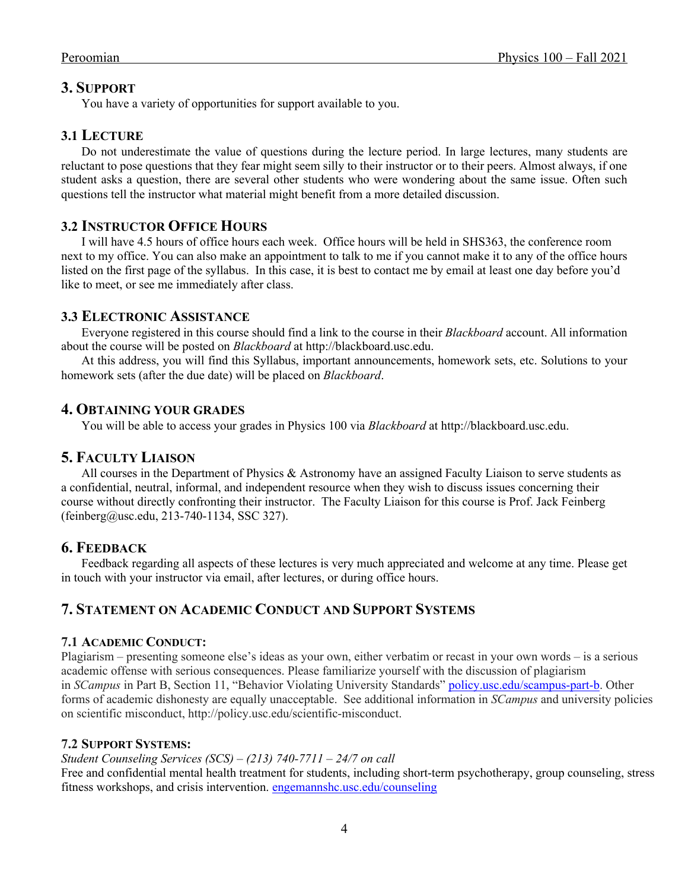# **3. SUPPORT**

You have a variety of opportunities for support available to you.

## **3.1 LECTURE**

Do not underestimate the value of questions during the lecture period. In large lectures, many students are reluctant to pose questions that they fear might seem silly to their instructor or to their peers. Almost always, if one student asks a question, there are several other students who were wondering about the same issue. Often such questions tell the instructor what material might benefit from a more detailed discussion.

# **3.2 INSTRUCTOR OFFICE HOURS**

I will have 4.5 hours of office hours each week. Office hours will be held in SHS363, the conference room next to my office. You can also make an appointment to talk to me if you cannot make it to any of the office hours listed on the first page of the syllabus. In this case, it is best to contact me by email at least one day before you'd like to meet, or see me immediately after class.

## **3.3 ELECTRONIC ASSISTANCE**

Everyone registered in this course should find a link to the course in their *Blackboard* account. All information about the course will be posted on *Blackboard* at http://blackboard.usc.edu.

At this address, you will find this Syllabus, important announcements, homework sets, etc. Solutions to your homework sets (after the due date) will be placed on *Blackboard*.

## **4. OBTAINING YOUR GRADES**

You will be able to access your grades in Physics 100 via *Blackboard* at http://blackboard.usc.edu.

# **5. FACULTY LIAISON**

All courses in the Department of Physics & Astronomy have an assigned Faculty Liaison to serve students as a confidential, neutral, informal, and independent resource when they wish to discuss issues concerning their course without directly confronting their instructor. The Faculty Liaison for this course is Prof. Jack Feinberg (feinberg@usc.edu, 213-740-1134, SSC 327).

## **6. FEEDBACK**

Feedback regarding all aspects of these lectures is very much appreciated and welcome at any time. Please get in touch with your instructor via email, after lectures, or during office hours.

# **7. STATEMENT ON ACADEMIC CONDUCT AND SUPPORT SYSTEMS**

#### **7.1 ACADEMIC CONDUCT:**

Plagiarism – presenting someone else's ideas as your own, either verbatim or recast in your own words – is a serious academic offense with serious consequences. Please familiarize yourself with the discussion of plagiarism in *SCampus* in Part B, Section 11, "Behavior Violating University Standards" policy.usc.edu/scampus-part-b. Other forms of academic dishonesty are equally unacceptable. See additional information in *SCampus* and university policies on scientific misconduct, http://policy.usc.edu/scientific-misconduct.

### **7.2 SUPPORT SYSTEMS:**

# *Student Counseling Services (SCS) – (213) 740-7711 – 24/7 on call*

Free and confidential mental health treatment for students, including short-term psychotherapy, group counseling, stress fitness workshops, and crisis intervention. engemannshc.usc.edu/counseling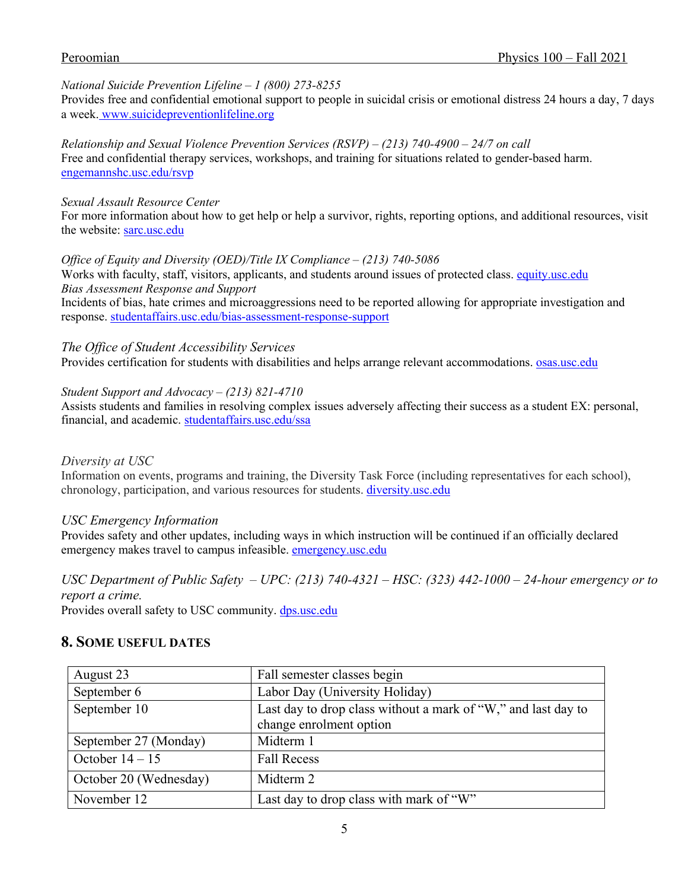### *National Suicide Prevention Lifeline – 1 (800) 273-8255*

Provides free and confidential emotional support to people in suicidal crisis or emotional distress 24 hours a day, 7 days a week. www.suicidepreventionlifeline.org

*Relationship and Sexual Violence Prevention Services (RSVP) – (213) 740-4900 – 24/7 on call* Free and confidential therapy services, workshops, and training for situations related to gender-based harm. engemannshc.usc.edu/rsvp

#### *Sexual Assault Resource Center*

For more information about how to get help or help a survivor, rights, reporting options, and additional resources, visit the website: sarc.usc.edu

*Office of Equity and Diversity (OED)/Title IX Compliance – (213) 740-5086*

Works with faculty, staff, visitors, applicants, and students around issues of protected class. equity.usc.edu *Bias Assessment Response and Support* Incidents of bias, hate crimes and microaggressions need to be reported allowing for appropriate investigation and response. studentaffairs.usc.edu/bias-assessment-response-support

*The Office of Student Accessibility Services*

Provides certification for students with disabilities and helps arrange relevant accommodations. **osas.usc.edu** 

*Student Support and Advocacy – (213) 821-4710*

Assists students and families in resolving complex issues adversely affecting their success as a student EX: personal, financial, and academic. studentaffairs.usc.edu/ssa

### *Diversity at USC*

Information on events, programs and training, the Diversity Task Force (including representatives for each school), chronology, participation, and various resources for students. diversity.usc.edu

### *USC Emergency Information*

Provides safety and other updates, including ways in which instruction will be continued if an officially declared emergency makes travel to campus infeasible. emergency.usc.edu

*USC Department of Public Safety – UPC: (213) 740-4321 – HSC: (323) 442-1000 – 24-hour emergency or to report a crime.* 

Provides overall safety to USC community. dps.usc.edu

### **8. SOME USEFUL DATES**

| August 23              | Fall semester classes begin                                                              |
|------------------------|------------------------------------------------------------------------------------------|
| September 6            | Labor Day (University Holiday)                                                           |
| September 10           | Last day to drop class without a mark of "W," and last day to<br>change enrolment option |
| September 27 (Monday)  | Midterm 1                                                                                |
| October $14 - 15$      | <b>Fall Recess</b>                                                                       |
| October 20 (Wednesday) | Midterm 2                                                                                |
| November 12            | Last day to drop class with mark of "W"                                                  |